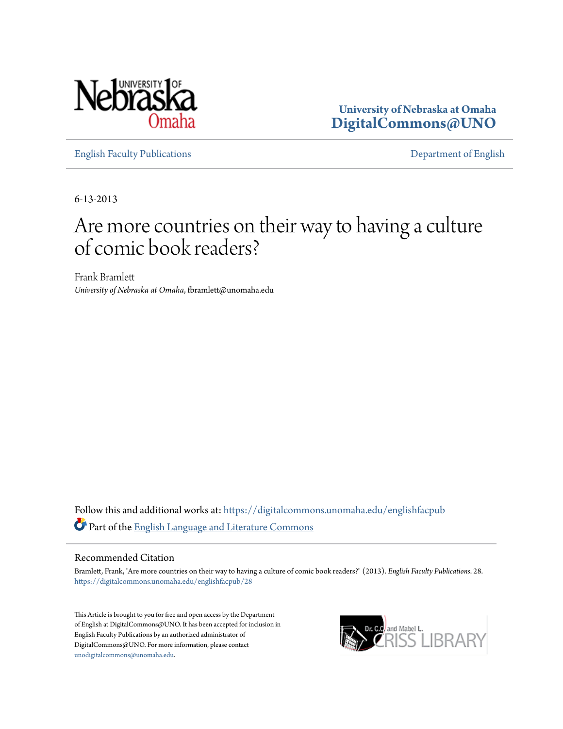

**University of Nebraska at Omaha [DigitalCommons@UNO](https://digitalcommons.unomaha.edu?utm_source=digitalcommons.unomaha.edu%2Fenglishfacpub%2F28&utm_medium=PDF&utm_campaign=PDFCoverPages)**

[English Faculty Publications](https://digitalcommons.unomaha.edu/englishfacpub?utm_source=digitalcommons.unomaha.edu%2Fenglishfacpub%2F28&utm_medium=PDF&utm_campaign=PDFCoverPages) [Department of English](https://digitalcommons.unomaha.edu/english?utm_source=digitalcommons.unomaha.edu%2Fenglishfacpub%2F28&utm_medium=PDF&utm_campaign=PDFCoverPages)

6-13-2013

## Are more countries on their way to having a culture of comic book readers?

Frank Bramlett *University of Nebraska at Omaha*, fbramlett@unomaha.edu

Follow this and additional works at: [https://digitalcommons.unomaha.edu/englishfacpub](https://digitalcommons.unomaha.edu/englishfacpub?utm_source=digitalcommons.unomaha.edu%2Fenglishfacpub%2F28&utm_medium=PDF&utm_campaign=PDFCoverPages) Part of the [English Language and Literature Commons](http://network.bepress.com/hgg/discipline/455?utm_source=digitalcommons.unomaha.edu%2Fenglishfacpub%2F28&utm_medium=PDF&utm_campaign=PDFCoverPages)

#### Recommended Citation

Bramlett, Frank, "Are more countries on their way to having a culture of comic book readers?" (2013). *English Faculty Publications*. 28. [https://digitalcommons.unomaha.edu/englishfacpub/28](https://digitalcommons.unomaha.edu/englishfacpub/28?utm_source=digitalcommons.unomaha.edu%2Fenglishfacpub%2F28&utm_medium=PDF&utm_campaign=PDFCoverPages)

This Article is brought to you for free and open access by the Department of English at DigitalCommons@UNO. It has been accepted for inclusion in English Faculty Publications by an authorized administrator of DigitalCommons@UNO. For more information, please contact [unodigitalcommons@unomaha.edu](mailto:unodigitalcommons@unomaha.edu).

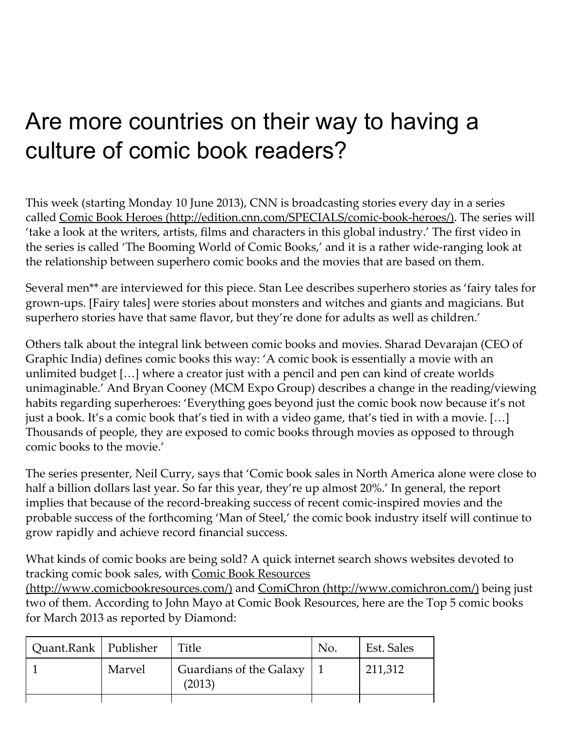# Are more countries on their way to having a culture of comic book readers?

This week (starting Monday 10 June 2013), CNN is broadcasting stories every day in a series called Comic Book Heroes (http://edition.cnn.com/SPECIALS/comic-book-heroes/). The series will 'take a look at the writers, artists, films and characters in this global industry.' The first video in the series is called 'The Booming World of Comic Books,' and it is a rather wide-ranging look at the relationship between superhero comic books and the movies that are based on them.

Several men\*\* are interviewed for this piece. Stan Lee describes superhero stories as 'fairy tales for grown‑ups. [Fairy tales] were stories about monsters and witches and giants and magicians. But superhero stories have that same flavor, but they're done for adults as well as children.'

Others talk about the integral link between comic books and movies. Sharad Devarajan (CEO of Graphic India) defines comic books this way: 'A comic book is essentially a movie with an unlimited budget […] where a creator just with a pencil and pen can kind of create worlds unimaginable.' And Bryan Cooney (MCM Expo Group) describes a change in the reading/viewing habits regarding superheroes: 'Everything goes beyond just the comic book now because it's not just a book. It's a comic book that's tied in with a video game, that's tied in with a movie. […] Thousands of people, they are exposed to comic books through movies as opposed to through comic books to the movie.'

The series presenter, Neil Curry, says that 'Comic book sales in North America alone were close to half a billion dollars last year. So far this year, they're up almost 20%.' In general, the report implies that because of the record-breaking success of recent comic-inspired movies and the probable success of the forthcoming 'Man of Steel,' the comic book industry itself will continue to grow rapidly and achieve record financial success.

What kinds of comic books are being sold? A quick internet search shows websites devoted to tracking comic book sales, with Comic Book Resources

[\(http://www.comicbookresources.com/\)](http://www.comicbookresources.com/) and ComiChron [\(http://www.comichron.com/\)](http://www.comichron.com/) being just two of them. According to John Mayo at Comic Book Resources, here are the Top 5 comic books for March 2013 as reported by Diamond:

| Quant.Rank   Publisher |        | Title                                 | No. | Est. Sales |
|------------------------|--------|---------------------------------------|-----|------------|
|                        | Marvel | Guardians of the Galaxy   1<br>(2013) |     | 211,312    |
|                        |        |                                       |     |            |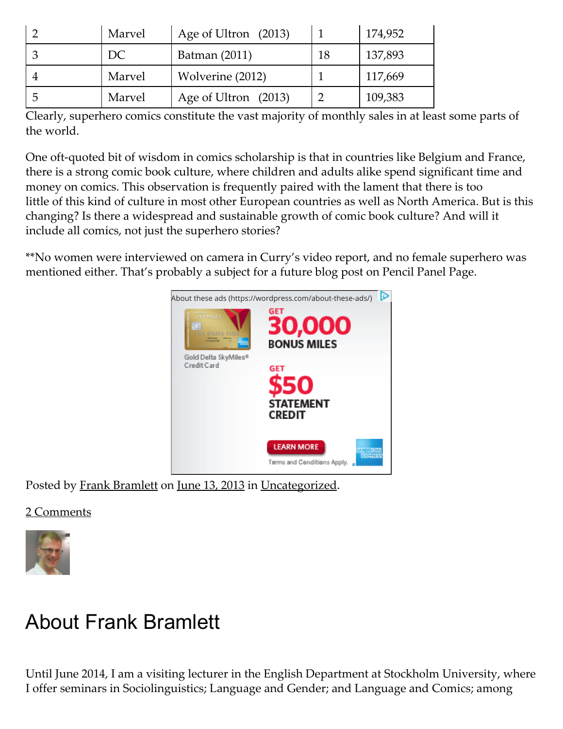| Marvel | Age of Ultron (2013) |    | 174,952 |
|--------|----------------------|----|---------|
| DC     | Batman (2011)        | 18 | 137,893 |
| Marvel | Wolverine (2012)     |    | 117,669 |
| Marvel | Age of Ultron (2013) |    | 109,383 |

Clearly, superhero comics constitute the vast majority of monthly sales in at least some parts of the world.

One oft-quoted bit of wisdom in comics scholarship is that in countries like Belgium and France, there is a strong comic book culture, where children and adults alike spend significant time and money on comics. This observation is frequently paired with the lament that there is too little of this kind of culture in most other European countries as well as North America. But is this changing? Is there a widespread and sustainable growth of comic book culture? And will it include all comics, not just the superhero stories?

\*\*No women were interviewed on camera in Curry's video report, and no female superhero was mentioned either. That's probably a subject for a future blog post on Pencil Panel Page.



Posted by Frank [Bramlett](https://pencilpanelpage.wordpress.com/author/bramling/) on [June](https://pencilpanelpage.wordpress.com/2013/06/13/are-more-countries-on-their-way-to-having-a-culture-of-comic-book-readers/) 13, 2013 in [Uncategorized](https://pencilpanelpage.wordpress.com/category/uncategorized/).

#### 2 Comments



## About Frank Bramlett

Until June 2014, I am a visiting lecturer in the English Department at Stockholm University, where I offer seminars in Sociolinguistics; Language and Gender; and Language and Comics; among